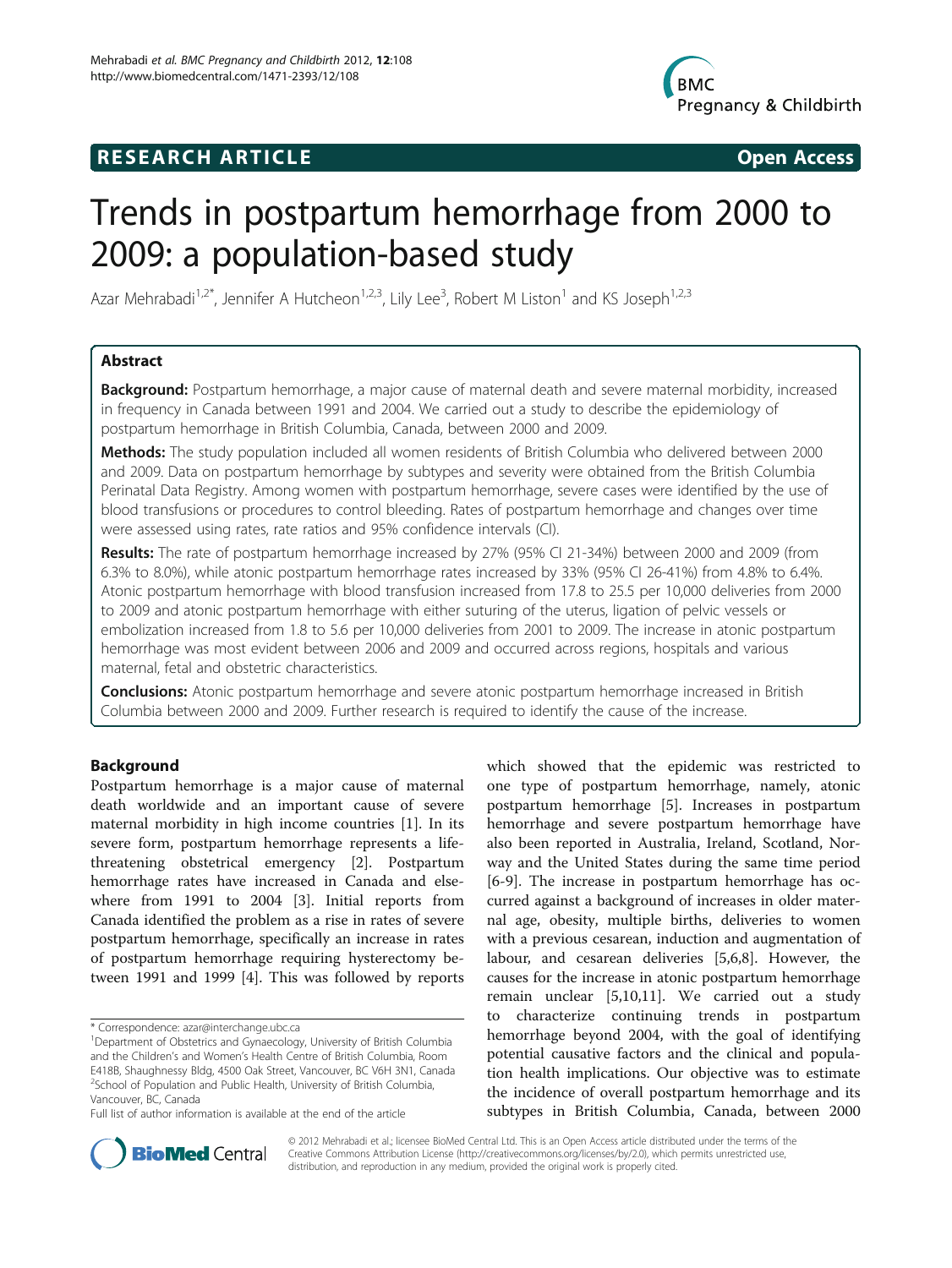## **RESEARCH ARTICLE Example 2018 CONSIDERING CONSIDERING CONSIDERING CONSIDERING CONSIDERING CONSIDERING CONSIDERING CONSIDERING CONSIDERING CONSIDERING CONSIDERING CONSIDERING CONSIDERING CONSIDERING CONSIDERING CONSIDE**



# Trends in postpartum hemorrhage from 2000 to 2009: a population-based study

Azar Mehrabadi<sup>1,2\*</sup>, Jennifer A Hutcheon<sup>1,2,3</sup>, Lily Lee<sup>3</sup>, Robert M Liston<sup>1</sup> and KS Joseph<sup>1,2,3</sup>

## Abstract

Background: Postpartum hemorrhage, a major cause of maternal death and severe maternal morbidity, increased in frequency in Canada between 1991 and 2004. We carried out a study to describe the epidemiology of postpartum hemorrhage in British Columbia, Canada, between 2000 and 2009.

Methods: The study population included all women residents of British Columbia who delivered between 2000 and 2009. Data on postpartum hemorrhage by subtypes and severity were obtained from the British Columbia Perinatal Data Registry. Among women with postpartum hemorrhage, severe cases were identified by the use of blood transfusions or procedures to control bleeding. Rates of postpartum hemorrhage and changes over time were assessed using rates, rate ratios and 95% confidence intervals (CI).

Results: The rate of postpartum hemorrhage increased by 27% (95% CI 21-34%) between 2000 and 2009 (from 6.3% to 8.0%), while atonic postpartum hemorrhage rates increased by 33% (95% CI 26-41%) from 4.8% to 6.4%. Atonic postpartum hemorrhage with blood transfusion increased from 17.8 to 25.5 per 10,000 deliveries from 2000 to 2009 and atonic postpartum hemorrhage with either suturing of the uterus, ligation of pelvic vessels or embolization increased from 1.8 to 5.6 per 10,000 deliveries from 2001 to 2009. The increase in atonic postpartum hemorrhage was most evident between 2006 and 2009 and occurred across regions, hospitals and various maternal, fetal and obstetric characteristics.

**Conclusions:** Atonic postpartum hemorrhage and severe atonic postpartum hemorrhage increased in British Columbia between 2000 and 2009. Further research is required to identify the cause of the increase.

## Background

Postpartum hemorrhage is a major cause of maternal death worldwide and an important cause of severe maternal morbidity in high income countries [[1\]](#page-7-0). In its severe form, postpartum hemorrhage represents a lifethreatening obstetrical emergency [[2\]](#page-7-0). Postpartum hemorrhage rates have increased in Canada and elsewhere from 1991 to 2004 [[3\]](#page-7-0). Initial reports from Canada identified the problem as a rise in rates of severe postpartum hemorrhage, specifically an increase in rates of postpartum hemorrhage requiring hysterectomy between 1991 and 1999 [\[4\]](#page-7-0). This was followed by reports

which showed that the epidemic was restricted to one type of postpartum hemorrhage, namely, atonic postpartum hemorrhage [[5\]](#page-7-0). Increases in postpartum hemorrhage and severe postpartum hemorrhage have also been reported in Australia, Ireland, Scotland, Norway and the United States during the same time period [[6-9](#page-7-0)]. The increase in postpartum hemorrhage has occurred against a background of increases in older maternal age, obesity, multiple births, deliveries to women with a previous cesarean, induction and augmentation of labour, and cesarean deliveries [\[5,6,8](#page-7-0)]. However, the causes for the increase in atonic postpartum hemorrhage remain unclear [\[5,10,11](#page-7-0)]. We carried out a study to characterize continuing trends in postpartum hemorrhage beyond 2004, with the goal of identifying potential causative factors and the clinical and population health implications. Our objective was to estimate the incidence of overall postpartum hemorrhage and its subtypes in British Columbia, Canada, between 2000



© 2012 Mehrabadi et al.; licensee BioMed Central Ltd. This is an Open Access article distributed under the terms of the Creative Commons Attribution License (<http://creativecommons.org/licenses/by/2.0>), which permits unrestricted use, distribution, and reproduction in any medium, provided the original work is properly cited.

<sup>\*</sup> Correspondence: [azar@interchange.ubc.ca](mailto:azar@interchange.ubc.ca) <sup>1</sup>

<sup>&</sup>lt;sup>1</sup>Department of Obstetrics and Gynaecology, University of British Columbia and the Children's and Women's Health Centre of British Columbia, Room E418B, Shaughnessy Bldg, 4500 Oak Street, Vancouver, BC V6H 3N1, Canada <sup>2</sup>School of Population and Public Health, University of British Columbia, Vancouver, BC, Canada

Full list of author information is available at the end of the article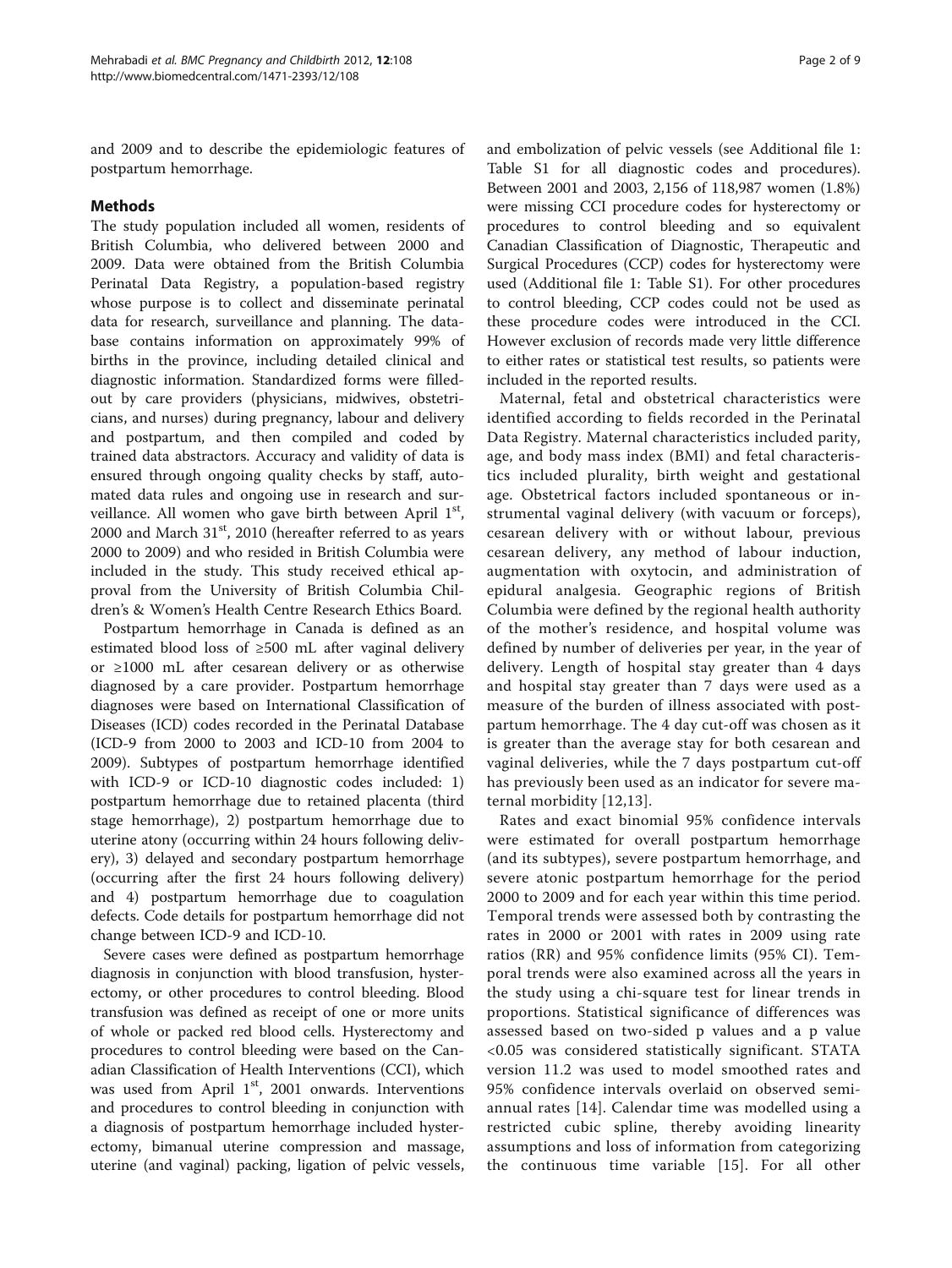and 2009 and to describe the epidemiologic features of postpartum hemorrhage.

## Methods

The study population included all women, residents of British Columbia, who delivered between 2000 and 2009. Data were obtained from the British Columbia Perinatal Data Registry, a population-based registry whose purpose is to collect and disseminate perinatal data for research, surveillance and planning. The database contains information on approximately 99% of births in the province, including detailed clinical and diagnostic information. Standardized forms were filledout by care providers (physicians, midwives, obstetricians, and nurses) during pregnancy, labour and delivery and postpartum, and then compiled and coded by trained data abstractors. Accuracy and validity of data is ensured through ongoing quality checks by staff, automated data rules and ongoing use in research and surveillance. All women who gave birth between April 1st, 2000 and March  $31<sup>st</sup>$ , 2010 (hereafter referred to as years 2000 to 2009) and who resided in British Columbia were included in the study. This study received ethical approval from the University of British Columbia Children's & Women's Health Centre Research Ethics Board.

Postpartum hemorrhage in Canada is defined as an estimated blood loss of ≥500 mL after vaginal delivery or ≥1000 mL after cesarean delivery or as otherwise diagnosed by a care provider. Postpartum hemorrhage diagnoses were based on International Classification of Diseases (ICD) codes recorded in the Perinatal Database (ICD-9 from 2000 to 2003 and ICD-10 from 2004 to 2009). Subtypes of postpartum hemorrhage identified with ICD-9 or ICD-10 diagnostic codes included: 1) postpartum hemorrhage due to retained placenta (third stage hemorrhage), 2) postpartum hemorrhage due to uterine atony (occurring within 24 hours following delivery), 3) delayed and secondary postpartum hemorrhage (occurring after the first 24 hours following delivery) and 4) postpartum hemorrhage due to coagulation defects. Code details for postpartum hemorrhage did not change between ICD-9 and ICD-10.

Severe cases were defined as postpartum hemorrhage diagnosis in conjunction with blood transfusion, hysterectomy, or other procedures to control bleeding. Blood transfusion was defined as receipt of one or more units of whole or packed red blood cells. Hysterectomy and procedures to control bleeding were based on the Canadian Classification of Health Interventions (CCI), which was used from April 1<sup>st</sup>, 2001 onwards. Interventions and procedures to control bleeding in conjunction with a diagnosis of postpartum hemorrhage included hysterectomy, bimanual uterine compression and massage, uterine (and vaginal) packing, ligation of pelvic vessels,

and embolization of pelvic vessels (see Additional file [1](#page-7-0): Table S1 for all diagnostic codes and procedures). Between 2001 and 2003, 2,156 of 118,987 women (1.8%) were missing CCI procedure codes for hysterectomy or procedures to control bleeding and so equivalent Canadian Classification of Diagnostic, Therapeutic and Surgical Procedures (CCP) codes for hysterectomy were used (Additional file [1:](#page-7-0) Table S1). For other procedures to control bleeding, CCP codes could not be used as these procedure codes were introduced in the CCI. However exclusion of records made very little difference to either rates or statistical test results, so patients were included in the reported results.

Maternal, fetal and obstetrical characteristics were identified according to fields recorded in the Perinatal Data Registry. Maternal characteristics included parity, age, and body mass index (BMI) and fetal characteristics included plurality, birth weight and gestational age. Obstetrical factors included spontaneous or instrumental vaginal delivery (with vacuum or forceps), cesarean delivery with or without labour, previous cesarean delivery, any method of labour induction, augmentation with oxytocin, and administration of epidural analgesia. Geographic regions of British Columbia were defined by the regional health authority of the mother's residence, and hospital volume was defined by number of deliveries per year, in the year of delivery. Length of hospital stay greater than 4 days and hospital stay greater than 7 days were used as a measure of the burden of illness associated with postpartum hemorrhage. The 4 day cut-off was chosen as it is greater than the average stay for both cesarean and vaginal deliveries, while the 7 days postpartum cut-off has previously been used as an indicator for severe maternal morbidity [[12,13\]](#page-7-0).

Rates and exact binomial 95% confidence intervals were estimated for overall postpartum hemorrhage (and its subtypes), severe postpartum hemorrhage, and severe atonic postpartum hemorrhage for the period 2000 to 2009 and for each year within this time period. Temporal trends were assessed both by contrasting the rates in 2000 or 2001 with rates in 2009 using rate ratios (RR) and 95% confidence limits (95% CI). Temporal trends were also examined across all the years in the study using a chi-square test for linear trends in proportions. Statistical significance of differences was assessed based on two-sided p values and a p value <0.05 was considered statistically significant. STATA version 11.2 was used to model smoothed rates and 95% confidence intervals overlaid on observed semiannual rates [[14\]](#page-7-0). Calendar time was modelled using a restricted cubic spline, thereby avoiding linearity assumptions and loss of information from categorizing the continuous time variable [\[15\]](#page-8-0). For all other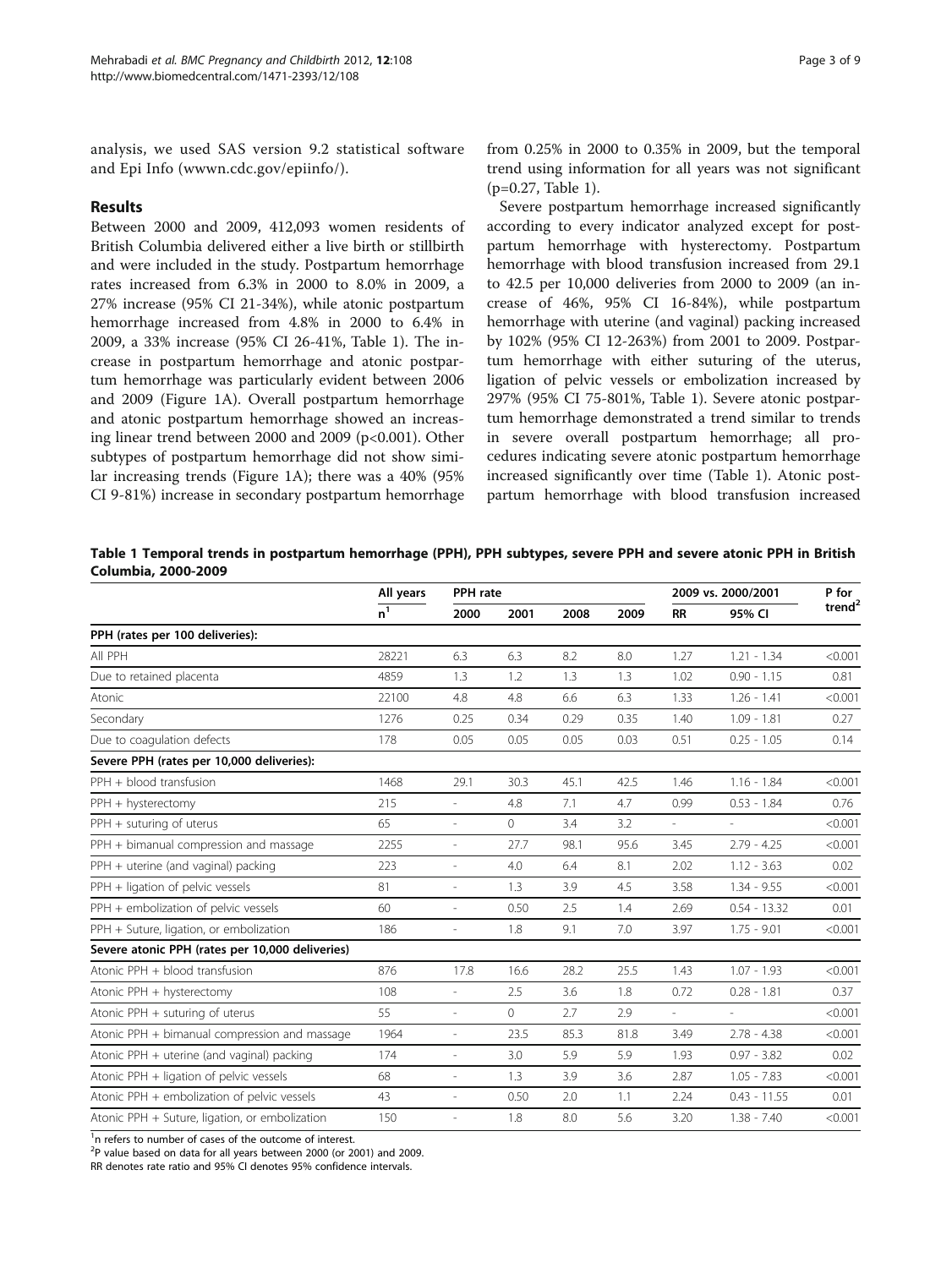analysis, we used SAS version 9.2 statistical software and Epi Info ([wwwn.cdc.gov/epiinfo/\)](wwwn.cdc.gov/epiinfo/).

### Results

Between 2000 and 2009, 412,093 women residents of British Columbia delivered either a live birth or stillbirth and were included in the study. Postpartum hemorrhage rates increased from 6.3% in 2000 to 8.0% in 2009, a 27% increase (95% CI 21-34%), while atonic postpartum hemorrhage increased from 4.8% in 2000 to 6.4% in 2009, a 33% increase (95% CI 26-41%, Table 1). The increase in postpartum hemorrhage and atonic postpartum hemorrhage was particularly evident between 2006 and 2009 (Figure [1A\)](#page-3-0). Overall postpartum hemorrhage and atonic postpartum hemorrhage showed an increasing linear trend between 2000 and 2009 (p<0.001). Other subtypes of postpartum hemorrhage did not show similar increasing trends (Figure [1A\)](#page-3-0); there was a 40% (95% CI 9-81%) increase in secondary postpartum hemorrhage from 0.25% in 2000 to 0.35% in 2009, but the temporal trend using information for all years was not significant (p=0.27, Table 1).

Severe postpartum hemorrhage increased significantly according to every indicator analyzed except for postpartum hemorrhage with hysterectomy. Postpartum hemorrhage with blood transfusion increased from 29.1 to 42.5 per 10,000 deliveries from 2000 to 2009 (an increase of 46%, 95% CI 16-84%), while postpartum hemorrhage with uterine (and vaginal) packing increased by 102% (95% CI 12-263%) from 2001 to 2009. Postpartum hemorrhage with either suturing of the uterus, ligation of pelvic vessels or embolization increased by 297% (95% CI 75-801%, Table 1). Severe atonic postpartum hemorrhage demonstrated a trend similar to trends in severe overall postpartum hemorrhage; all procedures indicating severe atonic postpartum hemorrhage increased significantly over time (Table 1). Atonic postpartum hemorrhage with blood transfusion increased

Table 1 Temporal trends in postpartum hemorrhage (PPH), PPH subtypes, severe PPH and severe atonic PPH in British Columbia, 2000-2009

|                                                 | All years        | PPH rate                 |          |      |      | 2009 vs. 2000/2001       | P for                    |                    |
|-------------------------------------------------|------------------|--------------------------|----------|------|------|--------------------------|--------------------------|--------------------|
|                                                 | $\overline{n}^1$ | 2000                     | 2001     | 2008 | 2009 | <b>RR</b>                | 95% CI                   | trend <sup>2</sup> |
| PPH (rates per 100 deliveries):                 |                  |                          |          |      |      |                          |                          |                    |
| All PPH                                         | 28221            | 6.3                      | 6.3      | 8.2  | 8.0  | 1.27                     | $1.21 - 1.34$            | < 0.001            |
| Due to retained placenta                        | 4859             | 1.3                      | 1.2      | 1.3  | 1.3  | 1.02                     | $0.90 - 1.15$            | 0.81               |
| Atonic                                          | 22100            | 4.8                      | 4.8      | 6.6  | 6.3  | 1.33                     | $1.26 - 1.41$            | < 0.001            |
| Secondary                                       | 1276             | 0.25                     | 0.34     | 0.29 | 0.35 | 1.40                     | $1.09 - 1.81$            | 0.27               |
| Due to coagulation defects                      | 178              | 0.05                     | 0.05     | 0.05 | 0.03 | 0.51                     | $0.25 - 1.05$            | 0.14               |
| Severe PPH (rates per 10,000 deliveries):       |                  |                          |          |      |      |                          |                          |                    |
| PPH + blood transfusion                         | 1468             | 29.1                     | 30.3     | 45.1 | 42.5 | 1.46                     | $1.16 - 1.84$            | < 0.001            |
| PPH + hysterectomy                              | 215              | L,                       | 4.8      | 7.1  | 4.7  | 0.99                     | $0.53 - 1.84$            | 0.76               |
| $PPH + suturing of uterus$                      | 65               | ä,                       | $\circ$  | 3.4  | 3.2  | $\overline{\phantom{a}}$ | $\overline{\phantom{a}}$ | < 0.001            |
| PPH + bimanual compression and massage          | 2255             | ä,                       | 27.7     | 98.1 | 95.6 | 3.45                     | $2.79 - 4.25$            | < 0.001            |
| PPH + uterine (and vaginal) packing             | 223              | $\overline{a}$           | 4.0      | 6.4  | 8.1  | 2.02                     | $1.12 - 3.63$            | 0.02               |
| PPH + ligation of pelvic vessels                | 81               | L,                       | 1.3      | 3.9  | 4.5  | 3.58                     | $1.34 - 9.55$            | < 0.001            |
| PPH + embolization of pelvic vessels            | 60               | $\overline{\phantom{a}}$ | 0.50     | 2.5  | 1.4  | 2.69                     | $0.54 - 13.32$           | 0.01               |
| PPH + Suture, ligation, or embolization         | 186              | $\overline{a}$           | 1.8      | 9.1  | 7.0  | 3.97                     | $1.75 - 9.01$            | < 0.001            |
| Severe atonic PPH (rates per 10,000 deliveries) |                  |                          |          |      |      |                          |                          |                    |
| Atonic PPH + blood transfusion                  | 876              | 17.8                     | 16.6     | 28.2 | 25.5 | 1.43                     | $1.07 - 1.93$            | < 0.001            |
| Atonic PPH + hysterectomy                       | 108              | ä,                       | 2.5      | 3.6  | 1.8  | 0.72                     | $0.28 - 1.81$            | 0.37               |
| Atonic PPH + suturing of uterus                 | 55               | ä,                       | $\Omega$ | 2.7  | 2.9  | $\overline{\phantom{a}}$ | $\overline{a}$           | < 0.001            |
| Atonic PPH + bimanual compression and massage   | 1964             | ä,                       | 23.5     | 85.3 | 81.8 | 3.49                     | $2.78 - 4.38$            | < 0.001            |
| Atonic PPH + uterine (and vaginal) packing      | 174              | L,                       | 3.0      | 5.9  | 5.9  | 1.93                     | $0.97 - 3.82$            | 0.02               |
| Atonic PPH + ligation of pelvic vessels         | 68               | L,                       | 1.3      | 3.9  | 3.6  | 2.87                     | $1.05 - 7.83$            | < 0.001            |
| Atonic PPH + embolization of pelvic vessels     | 43               | $\overline{\phantom{a}}$ | 0.50     | 2.0  | 1.1  | 2.24                     | $0.43 - 11.55$           | 0.01               |
| Atonic PPH + Suture, ligation, or embolization  | 150              | L,                       | 1.8      | 8.0  | 5.6  | 3.20                     | $1.38 - 7.40$            | < 0.001            |

<sup>1</sup>n refers to number of cases of the outcome of interest.

 $2$ P value based on data for all years between 2000 (or 2001) and 2009.

RR denotes rate ratio and 95% CI denotes 95% confidence intervals.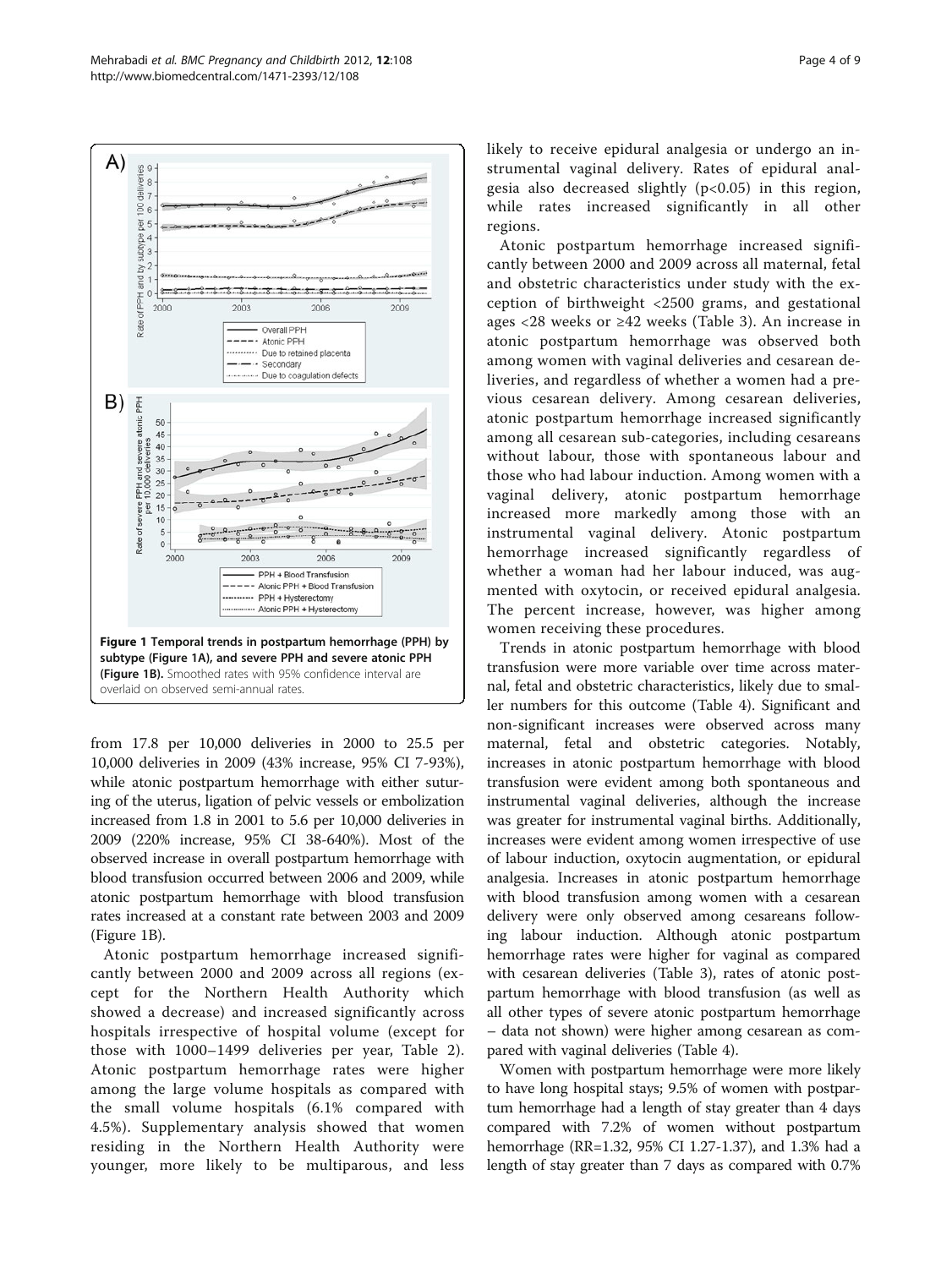<span id="page-3-0"></span>

from 17.8 per 10,000 deliveries in 2000 to 25.5 per 10,000 deliveries in 2009 (43% increase, 95% CI 7-93%), while atonic postpartum hemorrhage with either suturing of the uterus, ligation of pelvic vessels or embolization increased from 1.8 in 2001 to 5.6 per 10,000 deliveries in 2009 (220% increase, 95% CI 38-640%). Most of the observed increase in overall postpartum hemorrhage with blood transfusion occurred between 2006 and 2009, while atonic postpartum hemorrhage with blood transfusion rates increased at a constant rate between 2003 and 2009 (Figure 1B).

Atonic postpartum hemorrhage increased significantly between 2000 and 2009 across all regions (except for the Northern Health Authority which showed a decrease) and increased significantly across hospitals irrespective of hospital volume (except for those with 1000–1499 deliveries per year, Table [2](#page-4-0)). Atonic postpartum hemorrhage rates were higher among the large volume hospitals as compared with the small volume hospitals (6.1% compared with 4.5%). Supplementary analysis showed that women residing in the Northern Health Authority were younger, more likely to be multiparous, and less likely to receive epidural analgesia or undergo an instrumental vaginal delivery. Rates of epidural analgesia also decreased slightly  $(p<0.05)$  in this region, while rates increased significantly in all other regions.

Atonic postpartum hemorrhage increased significantly between 2000 and 2009 across all maternal, fetal and obstetric characteristics under study with the exception of birthweight <2500 grams, and gestational ages <28 weeks or ≥42 weeks (Table [3\)](#page-5-0). An increase in atonic postpartum hemorrhage was observed both among women with vaginal deliveries and cesarean deliveries, and regardless of whether a women had a previous cesarean delivery. Among cesarean deliveries, atonic postpartum hemorrhage increased significantly among all cesarean sub-categories, including cesareans without labour, those with spontaneous labour and those who had labour induction. Among women with a vaginal delivery, atonic postpartum hemorrhage increased more markedly among those with an instrumental vaginal delivery. Atonic postpartum hemorrhage increased significantly regardless of whether a woman had her labour induced, was augmented with oxytocin, or received epidural analgesia. The percent increase, however, was higher among women receiving these procedures.

Trends in atonic postpartum hemorrhage with blood transfusion were more variable over time across maternal, fetal and obstetric characteristics, likely due to smaller numbers for this outcome (Table [4](#page-6-0)). Significant and non-significant increases were observed across many maternal, fetal and obstetric categories. Notably, increases in atonic postpartum hemorrhage with blood transfusion were evident among both spontaneous and instrumental vaginal deliveries, although the increase was greater for instrumental vaginal births. Additionally, increases were evident among women irrespective of use of labour induction, oxytocin augmentation, or epidural analgesia. Increases in atonic postpartum hemorrhage with blood transfusion among women with a cesarean delivery were only observed among cesareans following labour induction. Although atonic postpartum hemorrhage rates were higher for vaginal as compared with cesarean deliveries (Table [3\)](#page-5-0), rates of atonic postpartum hemorrhage with blood transfusion (as well as all other types of severe atonic postpartum hemorrhage – data not shown) were higher among cesarean as compared with vaginal deliveries (Table [4\)](#page-6-0).

Women with postpartum hemorrhage were more likely to have long hospital stays; 9.5% of women with postpartum hemorrhage had a length of stay greater than 4 days compared with 7.2% of women without postpartum hemorrhage (RR=1.32, 95% CI 1.27-1.37), and 1.3% had a length of stay greater than 7 days as compared with 0.7%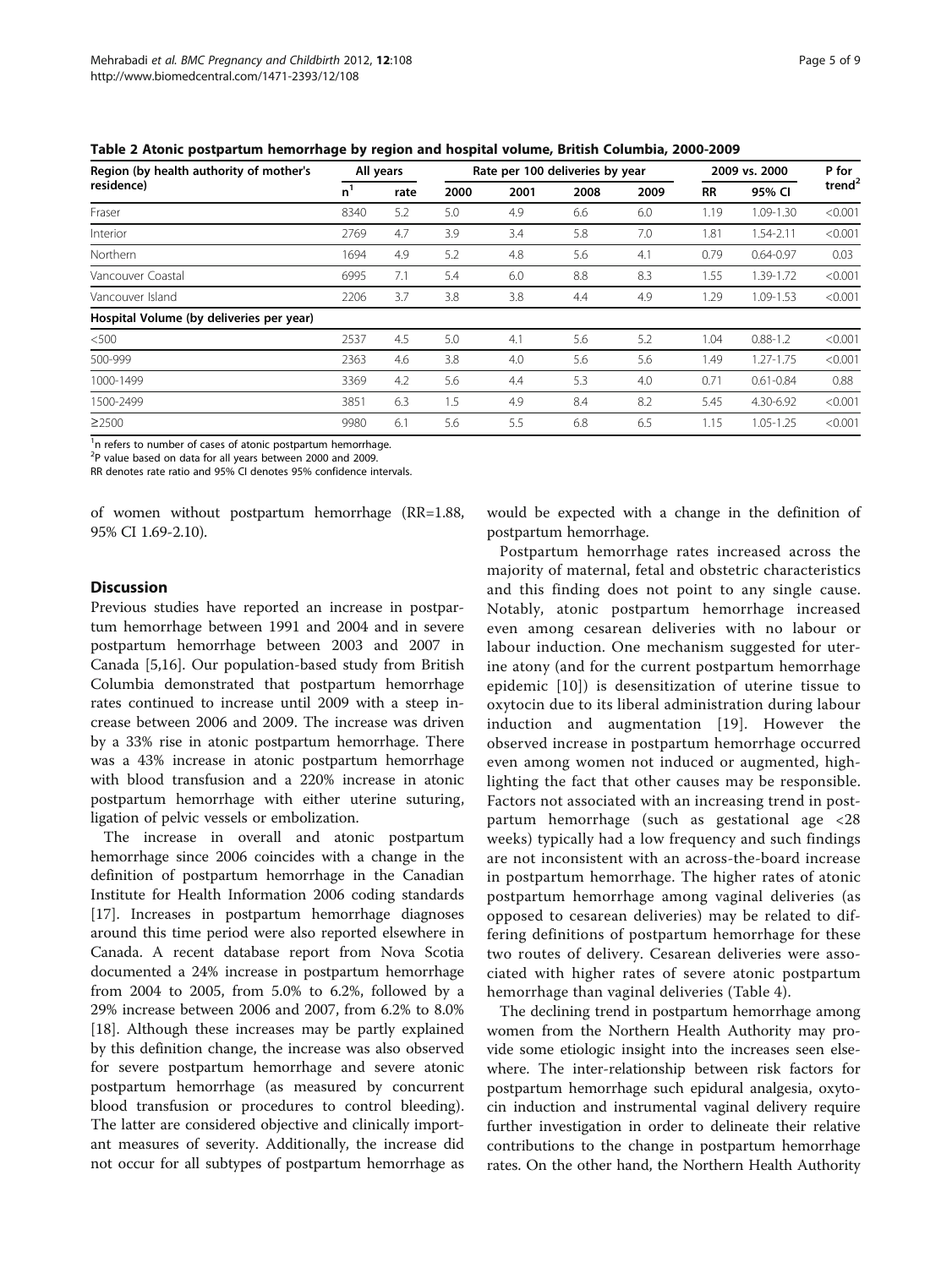| Region (by health authority of mother's<br>residence) | All years      |      |      |      | Rate per 100 deliveries by year | 2009 vs. 2000 |           | P for         |                    |
|-------------------------------------------------------|----------------|------|------|------|---------------------------------|---------------|-----------|---------------|--------------------|
|                                                       | n <sup>1</sup> | rate | 2000 | 2001 | 2008                            | 2009          | <b>RR</b> | 95% CI        | trend <sup>2</sup> |
| Fraser                                                | 8340           | 5.2  | 5.0  | 4.9  | 6.6                             | 6.0           | 1.19      | 1.09-1.30     | < 0.001            |
| Interior                                              | 2769           | 4.7  | 3.9  | 3.4  | 5.8                             | 7.0           | 1.81      | 1.54-2.11     | < 0.001            |
| Northern                                              | 1694           | 4.9  | 5.2  | 4.8  | 5.6                             | 4.1           | 0.79      | $0.64 - 0.97$ | 0.03               |
| Vancouver Coastal                                     | 6995           | 7.1  | 5.4  | 6.0  | 8.8                             | 8.3           | 1.55      | 1.39-1.72     | < 0.001            |
| Vancouver Island                                      | 2206           | 3.7  | 3.8  | 3.8  | 4.4                             | 4.9           | 1.29      | 1.09-1.53     | < 0.001            |
| Hospital Volume (by deliveries per year)              |                |      |      |      |                                 |               |           |               |                    |
| $<$ 500                                               | 2537           | 4.5  | 5.0  | 4.1  | 5.6                             | 5.2           | 1.04      | $0.88 - 1.2$  | < 0.001            |
| 500-999                                               | 2363           | 4.6  | 3.8  | 4.0  | 5.6                             | 5.6           | 1.49      | 1.27-1.75     | < 0.001            |
| 1000-1499                                             | 3369           | 4.2  | 5.6  | 4.4  | 5.3                             | 4.0           | 0.71      | $0.61 - 0.84$ | 0.88               |
| 1500-2499                                             | 3851           | 6.3  | 1.5  | 4.9  | 8.4                             | 8.2           | 5.45      | 4.30-6.92     | < 0.001            |
| ≥2500                                                 | 9980           | 6.1  | 5.6  | 5.5  | 6.8                             | 6.5           | 1.15      | 1.05-1.25     | < 0.001            |

<span id="page-4-0"></span>Table 2 Atonic postpartum hemorrhage by region and hospital volume, British Columbia, 2000-2009

<sup>1</sup>n refers to number of cases of atonic postpartum hemorrhage.

<sup>2</sup>P value based on data for all years between 2000 and 2009.

RR denotes rate ratio and 95% CI denotes 95% confidence intervals.

of women without postpartum hemorrhage (RR=1.88, 95% CI 1.69-2.10).

## **Discussion**

Previous studies have reported an increase in postpartum hemorrhage between 1991 and 2004 and in severe postpartum hemorrhage between 2003 and 2007 in Canada [[5,](#page-7-0)[16\]](#page-8-0). Our population-based study from British Columbia demonstrated that postpartum hemorrhage rates continued to increase until 2009 with a steep increase between 2006 and 2009. The increase was driven by a 33% rise in atonic postpartum hemorrhage. There was a 43% increase in atonic postpartum hemorrhage with blood transfusion and a 220% increase in atonic postpartum hemorrhage with either uterine suturing, ligation of pelvic vessels or embolization.

The increase in overall and atonic postpartum hemorrhage since 2006 coincides with a change in the definition of postpartum hemorrhage in the Canadian Institute for Health Information 2006 coding standards [[17\]](#page-8-0). Increases in postpartum hemorrhage diagnoses around this time period were also reported elsewhere in Canada. A recent database report from Nova Scotia documented a 24% increase in postpartum hemorrhage from 2004 to 2005, from 5.0% to 6.2%, followed by a 29% increase between 2006 and 2007, from 6.2% to 8.0% [[18\]](#page-8-0). Although these increases may be partly explained by this definition change, the increase was also observed for severe postpartum hemorrhage and severe atonic postpartum hemorrhage (as measured by concurrent blood transfusion or procedures to control bleeding). The latter are considered objective and clinically important measures of severity. Additionally, the increase did not occur for all subtypes of postpartum hemorrhage as would be expected with a change in the definition of postpartum hemorrhage.

Postpartum hemorrhage rates increased across the majority of maternal, fetal and obstetric characteristics and this finding does not point to any single cause. Notably, atonic postpartum hemorrhage increased even among cesarean deliveries with no labour or labour induction. One mechanism suggested for uterine atony (and for the current postpartum hemorrhage epidemic [\[10\]](#page-7-0)) is desensitization of uterine tissue to oxytocin due to its liberal administration during labour induction and augmentation [[19](#page-8-0)]. However the observed increase in postpartum hemorrhage occurred even among women not induced or augmented, highlighting the fact that other causes may be responsible. Factors not associated with an increasing trend in postpartum hemorrhage (such as gestational age <28 weeks) typically had a low frequency and such findings are not inconsistent with an across-the-board increase in postpartum hemorrhage. The higher rates of atonic postpartum hemorrhage among vaginal deliveries (as opposed to cesarean deliveries) may be related to differing definitions of postpartum hemorrhage for these two routes of delivery. Cesarean deliveries were associated with higher rates of severe atonic postpartum hemorrhage than vaginal deliveries (Table [4](#page-6-0)).

The declining trend in postpartum hemorrhage among women from the Northern Health Authority may provide some etiologic insight into the increases seen elsewhere. The inter-relationship between risk factors for postpartum hemorrhage such epidural analgesia, oxytocin induction and instrumental vaginal delivery require further investigation in order to delineate their relative contributions to the change in postpartum hemorrhage rates. On the other hand, the Northern Health Authority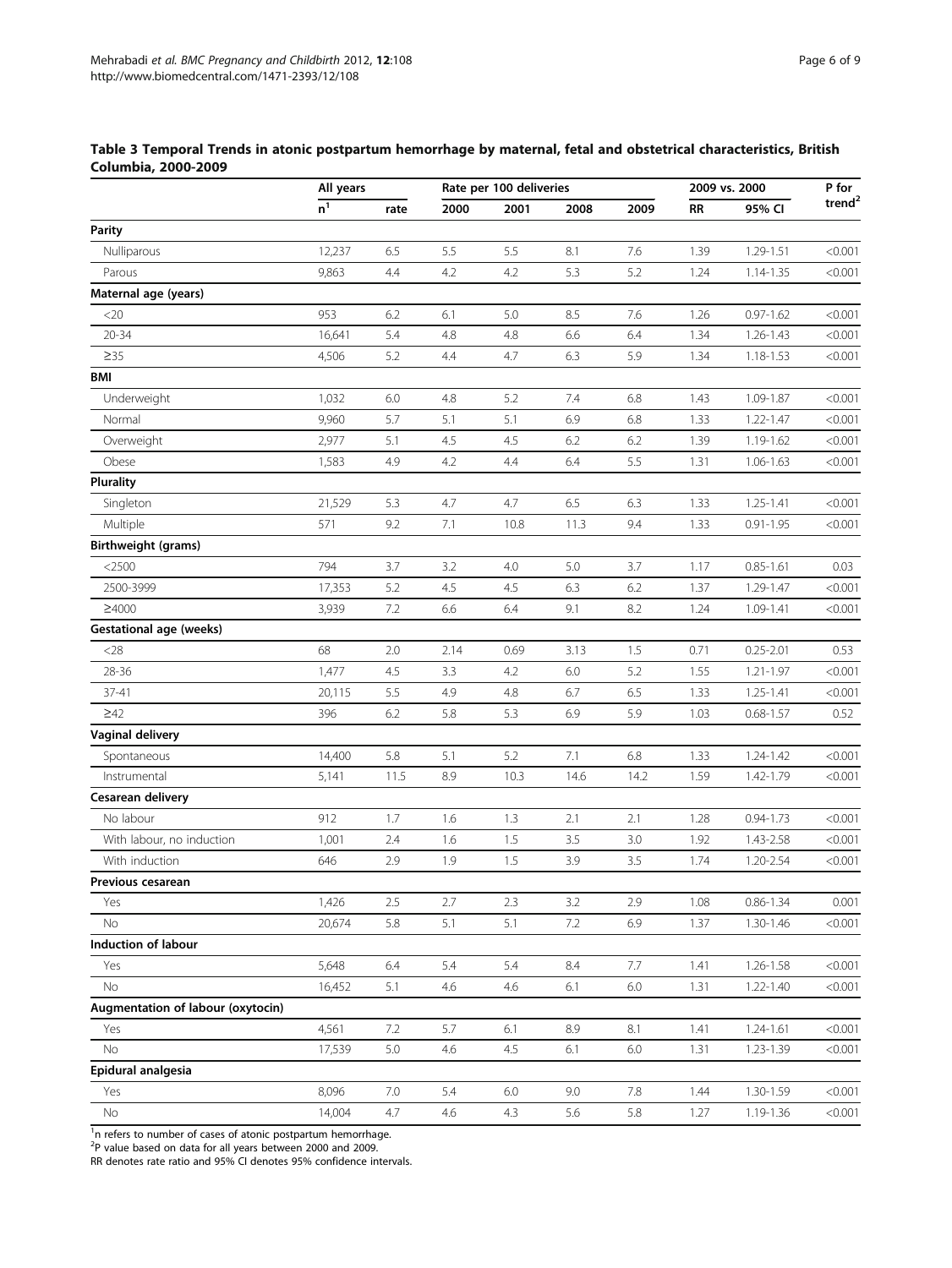|                                   | All years        |         | Rate per 100 deliveries |      |         |         | 2009 vs. 2000 | P for         |                    |
|-----------------------------------|------------------|---------|-------------------------|------|---------|---------|---------------|---------------|--------------------|
|                                   | $\overline{n^1}$ | rate    | 2000                    | 2001 | 2008    | 2009    | <b>RR</b>     | 95% CI        | trend <sup>2</sup> |
| <b>Parity</b>                     |                  |         |                         |      |         |         |               |               |                    |
| Nulliparous                       | 12,237           | 6.5     | 5.5                     | 5.5  | 8.1     | 7.6     | 1.39          | 1.29-1.51     | < 0.001            |
| Parous                            | 9,863            | 4.4     | 4.2                     | 4.2  | 5.3     | 5.2     | 1.24          | 1.14-1.35     | < 0.001            |
| Maternal age (years)              |                  |         |                         |      |         |         |               |               |                    |
| $<$ 20                            | 953              | 6.2     | 6.1                     | 5.0  | 8.5     | 7.6     | 1.26          | $0.97 - 1.62$ | < 0.001            |
| $20 - 34$                         | 16,641           | 5.4     | 4.8                     | 4.8  | 6.6     | 6.4     | 1.34          | 1.26-1.43     | < 0.001            |
| $\geq$ 35                         | 4,506            | 5.2     | 4.4                     | 4.7  | 6.3     | 5.9     | 1.34          | 1.18-1.53     | < 0.001            |
| <b>BMI</b>                        |                  |         |                         |      |         |         |               |               |                    |
| Underweight                       | 1,032            | 6.0     | 4.8                     | 5.2  | 7.4     | 6.8     | 1.43          | 1.09-1.87     | < 0.001            |
| Normal                            | 9,960            | 5.7     | 5.1                     | 5.1  | 6.9     | 6.8     | 1.33          | 1.22-1.47     | < 0.001            |
| Overweight                        | 2,977            | 5.1     | 4.5                     | 4.5  | 6.2     | 6.2     | 1.39          | 1.19-1.62     | < 0.001            |
| Obese                             | 1,583            | 4.9     | 4.2                     | 4.4  | 6.4     | 5.5     | 1.31          | 1.06-1.63     | < 0.001            |
| <b>Plurality</b>                  |                  |         |                         |      |         |         |               |               |                    |
| Singleton                         | 21,529           | 5.3     | 4.7                     | 4.7  | 6.5     | 6.3     | 1.33          | $1.25 - 1.41$ | < 0.001            |
| Multiple                          | 571              | 9.2     | 7.1                     | 10.8 | 11.3    | 9.4     | 1.33          | $0.91 - 1.95$ | < 0.001            |
| Birthweight (grams)               |                  |         |                         |      |         |         |               |               |                    |
| $<$ 2500                          | 794              | 3.7     | 3.2                     | 4.0  | 5.0     | 3.7     | 1.17          | $0.85 - 1.61$ | 0.03               |
| 2500-3999                         | 17,353           | 5.2     | 4.5                     | 4.5  | 6.3     | 6.2     | 1.37          | 1.29-1.47     | < 0.001            |
| ≥4000                             | 3,939            | 7.2     | 6.6                     | 6.4  | 9.1     | 8.2     | 1.24          | 1.09-1.41     | < 0.001            |
| <b>Gestational age (weeks)</b>    |                  |         |                         |      |         |         |               |               |                    |
| < 28                              | 68               | 2.0     | 2.14                    | 0.69 | 3.13    | 1.5     | 0.71          | $0.25 - 2.01$ | 0.53               |
| 28-36                             | 1,477            | 4.5     | 3.3                     | 4.2  | 6.0     | 5.2     | 1.55          | $1.21 - 1.97$ | < 0.001            |
| 37-41                             | 20,115           | 5.5     | 4.9                     | 4.8  | 6.7     | 6.5     | 1.33          | 1.25-1.41     | < 0.001            |
| $\geq 42$                         | 396              | 6.2     | 5.8                     | 5.3  | 6.9     | 5.9     | 1.03          | $0.68 - 1.57$ | 0.52               |
| Vaginal delivery                  |                  |         |                         |      |         |         |               |               |                    |
| Spontaneous                       | 14,400           | 5.8     | 5.1                     | 5.2  | 7.1     | 6.8     | 1.33          | 1.24-1.42     | < 0.001            |
| Instrumental                      | 5,141            | 11.5    | 8.9                     | 10.3 | 14.6    | 14.2    | 1.59          | 1.42-1.79     | < 0.001            |
| Cesarean delivery                 |                  |         |                         |      |         |         |               |               |                    |
| No labour                         | 912              | 1.7     | 1.6                     | 1.3  | 2.1     | 2.1     | 1.28          | $0.94 - 1.73$ | < 0.001            |
| With labour, no induction         | 1,001            | 2.4     | 1.6                     | 1.5  | 3.5     | 3.0     | 1.92          | 1.43-2.58     | < 0.001            |
| With induction                    | 646              | 2.9     | 1.9                     | 1.5  | 3.9     | 3.5     | 1.74          | 1.20-2.54     | < 0.001            |
| Previous cesarean                 |                  |         |                         |      |         |         |               |               |                    |
| Yes                               | 1,426            | 2.5     | 2.7                     | 2.3  | 3.2     | 2.9     | 1.08          | $0.86 - 1.34$ | 0.001              |
| No                                | 20,674           | 5.8     | 5.1                     | 5.1  | 7.2     | 6.9     | 1.37          | 1.30-1.46     | < 0.001            |
| Induction of labour               |                  |         |                         |      |         |         |               |               |                    |
| Yes                               | 5,648            | 6.4     | 5.4                     | 5.4  | 8.4     | 7.7     | 1.41          | 1.26-1.58     | < 0.001            |
| No                                | 16,452           | 5.1     | 4.6                     | 4.6  | 6.1     | 6.0     | 1.31          | 1.22-1.40     | < 0.001            |
| Augmentation of labour (oxytocin) |                  |         |                         |      |         |         |               |               |                    |
| Yes                               | 4,561            | 7.2     | 5.7                     | 6.1  | 8.9     | 8.1     | 1.41          | 1.24-1.61     | < 0.001            |
| $\rm No$                          | 17,539           | 5.0     | 4.6                     | 4.5  | 6.1     | $6.0\,$ | 1.31          | 1.23-1.39     | < 0.001            |
| Epidural analgesia                |                  |         |                         |      |         |         |               |               |                    |
| Yes                               | 8,096            | $7.0\,$ | 5.4                     | 6.0  | 9.0     | 7.8     | 1.44          | 1.30-1.59     | < 0.001            |
| No                                | 14,004           | 4.7     | 4.6                     | 4.3  | $5.6\,$ | $5.8\,$ | 1.27          | 1.19-1.36     | < 0.001            |

<span id="page-5-0"></span>Table 3 Temporal Trends in atonic postpartum hemorrhage by maternal, fetal and obstetrical characteristics, British Columbia, 2000-2009

<sup>1</sup>n refers to number of cases of atonic postpartum hemorrhage.<br><sup>2</sup>P value based on data for all years between 2000 and 2009.

RR denotes rate ratio and 95% CI denotes 95% confidence intervals.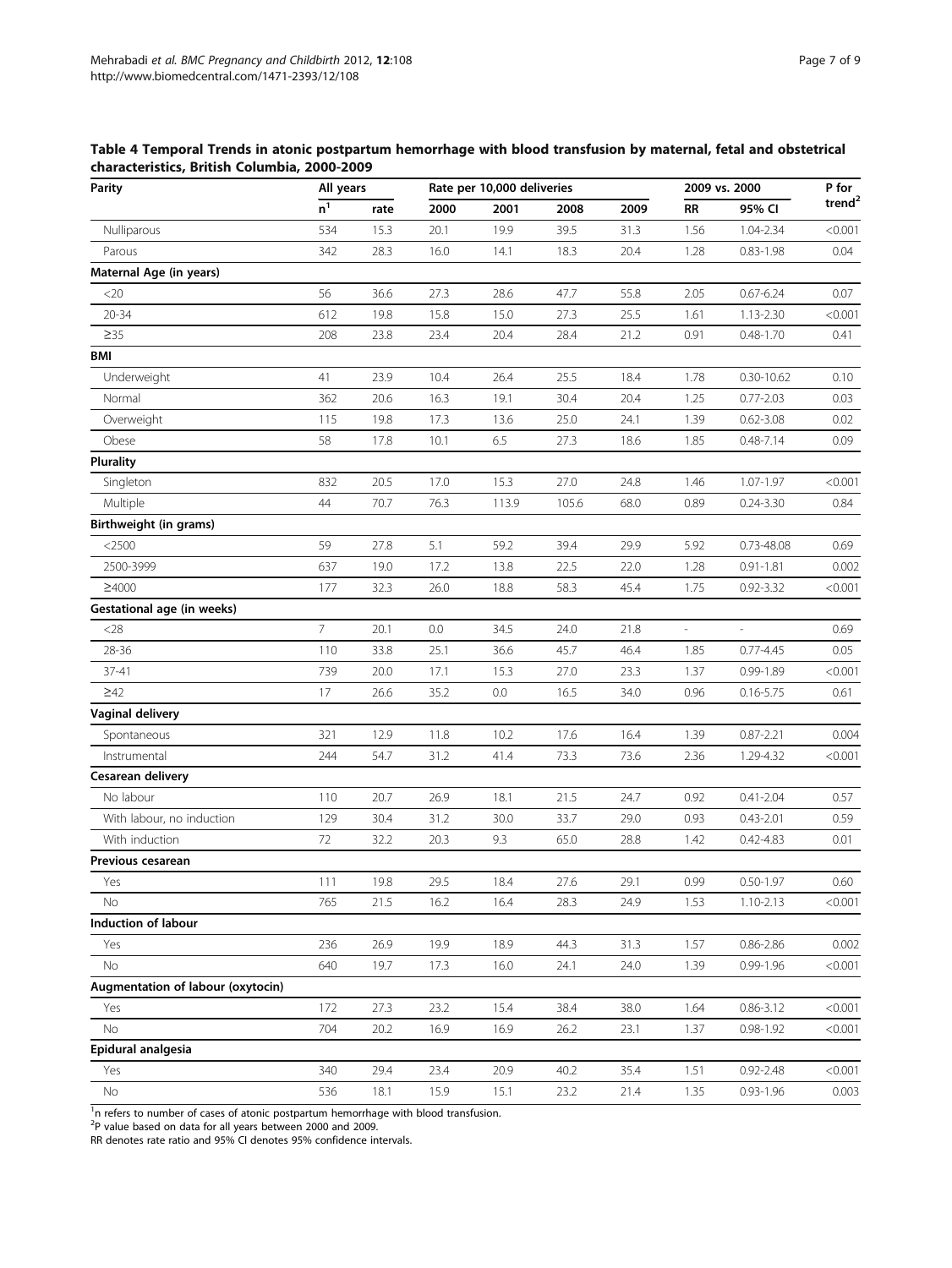<span id="page-6-0"></span>Table 4 Temporal Trends in atonic postpartum hemorrhage with blood transfusion by maternal, fetal and obstetrical characteristics, British Columbia, 2000-2009

| n <sup>1</sup><br>2000<br>2001<br>2009<br>95% CI<br>2008<br>RR<br>rate<br>534<br>Nulliparous<br>15.3<br>20.1<br>19.9<br>39.5<br>31.3<br>1.56<br>1.04-2.34<br>342<br>Parous<br>28.3<br>16.0<br>18.3<br>20.4<br>1.28<br>$0.83 - 1.98$<br>14.1<br>Maternal Age (in years)<br>56<br>$<$ 20<br>36.6<br>27.3<br>28.6<br>47.7<br>55.8<br>2.05<br>$0.67 - 6.24$<br>$20 - 34$<br>612<br>19.8<br>15.8<br>15.0<br>27.3<br>25.5<br>1.13-2.30<br>1.61<br>$\geq 35$<br>208<br>23.8<br>23.4<br>20.4<br>28.4<br>21.2<br>0.91<br>$0.48 - 1.70$<br>BMI | P for              |
|--------------------------------------------------------------------------------------------------------------------------------------------------------------------------------------------------------------------------------------------------------------------------------------------------------------------------------------------------------------------------------------------------------------------------------------------------------------------------------------------------------------------------------------|--------------------|
|                                                                                                                                                                                                                                                                                                                                                                                                                                                                                                                                      | trend <sup>2</sup> |
|                                                                                                                                                                                                                                                                                                                                                                                                                                                                                                                                      | < 0.001            |
|                                                                                                                                                                                                                                                                                                                                                                                                                                                                                                                                      | 0.04               |
|                                                                                                                                                                                                                                                                                                                                                                                                                                                                                                                                      |                    |
|                                                                                                                                                                                                                                                                                                                                                                                                                                                                                                                                      | 0.07               |
|                                                                                                                                                                                                                                                                                                                                                                                                                                                                                                                                      | < 0.001            |
|                                                                                                                                                                                                                                                                                                                                                                                                                                                                                                                                      | 0.41               |
|                                                                                                                                                                                                                                                                                                                                                                                                                                                                                                                                      |                    |
| 23.9<br>10.4<br>26.4<br>25.5<br>Underweight<br>41<br>18.4<br>1.78<br>0.30-10.62                                                                                                                                                                                                                                                                                                                                                                                                                                                      | 0.10               |
| Normal<br>362<br>16.3<br>19.1<br>30.4<br>20.6<br>20.4<br>1.25<br>$0.77 - 2.03$                                                                                                                                                                                                                                                                                                                                                                                                                                                       | 0.03               |
| 19.8<br>Overweight<br>115<br>17.3<br>13.6<br>25.0<br>24.1<br>1.39<br>$0.62 - 3.08$                                                                                                                                                                                                                                                                                                                                                                                                                                                   | 0.02               |
| 58<br>6.5<br>Obese<br>17.8<br>10.1<br>27.3<br>18.6<br>1.85<br>$0.48 - 7.14$                                                                                                                                                                                                                                                                                                                                                                                                                                                          | 0.09               |
| <b>Plurality</b>                                                                                                                                                                                                                                                                                                                                                                                                                                                                                                                     |                    |
| 832<br>15.3<br>27.0<br>Singleton<br>20.5<br>17.0<br>24.8<br>1.46<br>1.07-1.97                                                                                                                                                                                                                                                                                                                                                                                                                                                        | < 0.001            |
| 44<br>70.7<br>76.3<br>113.9<br>105.6<br>68.0<br>0.89<br>Multiple<br>$0.24 - 3.30$                                                                                                                                                                                                                                                                                                                                                                                                                                                    | 0.84               |
| Birthweight (in grams)                                                                                                                                                                                                                                                                                                                                                                                                                                                                                                               |                    |
| $<$ 2500<br>59<br>27.8<br>5.1<br>59.2<br>29.9<br>5.92<br>0.73-48.08<br>39.4                                                                                                                                                                                                                                                                                                                                                                                                                                                          | 0.69               |
| 2500-3999<br>637<br>19.0<br>17.2<br>13.8<br>22.5<br>1.28<br>22.0<br>$0.91 - 1.81$                                                                                                                                                                                                                                                                                                                                                                                                                                                    | 0.002              |
| ≥4000<br>32.3<br>58.3<br>177<br>26.0<br>18.8<br>45.4<br>1.75<br>$0.92 - 3.32$                                                                                                                                                                                                                                                                                                                                                                                                                                                        | < 0.001            |
| Gestational age (in weeks)                                                                                                                                                                                                                                                                                                                                                                                                                                                                                                           |                    |
| 7<br>$<$ 28<br>20.1<br>0.0<br>34.5<br>24.0<br>21.8<br>$\overline{\phantom{a}}$<br>$\overline{\phantom{a}}$                                                                                                                                                                                                                                                                                                                                                                                                                           | 0.69               |
| 28-36<br>45.7<br>46.4<br>$0.77 - 4.45$<br>110<br>33.8<br>25.1<br>36.6<br>1.85                                                                                                                                                                                                                                                                                                                                                                                                                                                        | 0.05               |
| 37-41<br>739<br>20.0<br>17.1<br>15.3<br>27.0<br>23.3<br>1.37<br>0.99-1.89                                                                                                                                                                                                                                                                                                                                                                                                                                                            | < 0.001            |
| $\geq 42$<br>17<br>35.2<br>0.0<br>16.5<br>26.6<br>34.0<br>0.96<br>$0.16 - 5.75$                                                                                                                                                                                                                                                                                                                                                                                                                                                      | 0.61               |
| Vaginal delivery                                                                                                                                                                                                                                                                                                                                                                                                                                                                                                                     |                    |
| 321<br>12.9<br>11.8<br>10.2<br>17.6<br>$0.87 - 2.21$<br>Spontaneous<br>16.4<br>1.39                                                                                                                                                                                                                                                                                                                                                                                                                                                  | 0.004              |
| 244<br>Instrumental<br>54.7<br>31.2<br>41.4<br>73.3<br>73.6<br>2.36<br>1.29-4.32                                                                                                                                                                                                                                                                                                                                                                                                                                                     | < 0.001            |
| Cesarean delivery                                                                                                                                                                                                                                                                                                                                                                                                                                                                                                                    |                    |
| No labour<br>110<br>20.7<br>26.9<br>18.1<br>21.5<br>0.92<br>$0.41 - 2.04$<br>24.7                                                                                                                                                                                                                                                                                                                                                                                                                                                    | 0.57               |
| 31.2<br>With labour, no induction<br>129<br>30.4<br>30.0<br>33.7<br>29.0<br>0.93<br>$0.43 - 2.01$                                                                                                                                                                                                                                                                                                                                                                                                                                    | 0.59               |
| With induction<br>72<br>32.2<br>20.3<br>9.3<br>65.0<br>28.8<br>$0.42 - 4.83$<br>1.42                                                                                                                                                                                                                                                                                                                                                                                                                                                 | 0.01               |
| Previous cesarean                                                                                                                                                                                                                                                                                                                                                                                                                                                                                                                    |                    |
| Yes<br>111<br>19.8<br>29.5<br>18.4<br>27.6<br>0.99<br>$0.50 - 1.97$<br>29.1                                                                                                                                                                                                                                                                                                                                                                                                                                                          | 0.60               |
| No<br>765<br>21.5<br>16.2<br>16.4<br>28.3<br>24.9<br>1.53<br>$1.10 - 2.13$                                                                                                                                                                                                                                                                                                                                                                                                                                                           | < 0.001            |
| <b>Induction of labour</b>                                                                                                                                                                                                                                                                                                                                                                                                                                                                                                           |                    |
| 26.9<br>236<br>19.9<br>18.9<br>44.3<br>31.3<br>1.57<br>$0.86 - 2.86$<br>Yes                                                                                                                                                                                                                                                                                                                                                                                                                                                          | 0.002              |
| <b>No</b><br>640<br>19.7<br>17.3<br>16.0<br>24.1<br>1.39<br>$0.99 - 1.96$<br>24.0                                                                                                                                                                                                                                                                                                                                                                                                                                                    | < 0.001            |
| Augmentation of labour (oxytocin)                                                                                                                                                                                                                                                                                                                                                                                                                                                                                                    |                    |
| 172<br>23.2<br>15.4<br>1.64<br>Yes<br>27.3<br>38.4<br>38.0<br>$0.86 - 3.12$                                                                                                                                                                                                                                                                                                                                                                                                                                                          | < 0.001            |
| No<br>704<br>16.9<br>20.2<br>16.9<br>26.2<br>23.1<br>1.37<br>$0.98 - 1.92$                                                                                                                                                                                                                                                                                                                                                                                                                                                           | < 0.001            |
| Epidural analgesia                                                                                                                                                                                                                                                                                                                                                                                                                                                                                                                   |                    |
| Yes<br>340<br>29.4<br>23.4<br>40.2<br>35.4<br>1.51<br>$0.92 - 2.48$<br>20.9                                                                                                                                                                                                                                                                                                                                                                                                                                                          | < 0.001            |
| No<br>536<br>15.9<br>15.1<br>23.2<br>21.4<br>1.35<br>$0.93 - 1.96$<br>18.1                                                                                                                                                                                                                                                                                                                                                                                                                                                           | 0.003              |

<sup>1</sup>n refers to number of cases of atonic postpartum hemorrhage with blood transfusion.<br><sup>2</sup>P value based on data for all years between 2000 and 2009.

RR denotes rate ratio and 95% CI denotes 95% confidence intervals.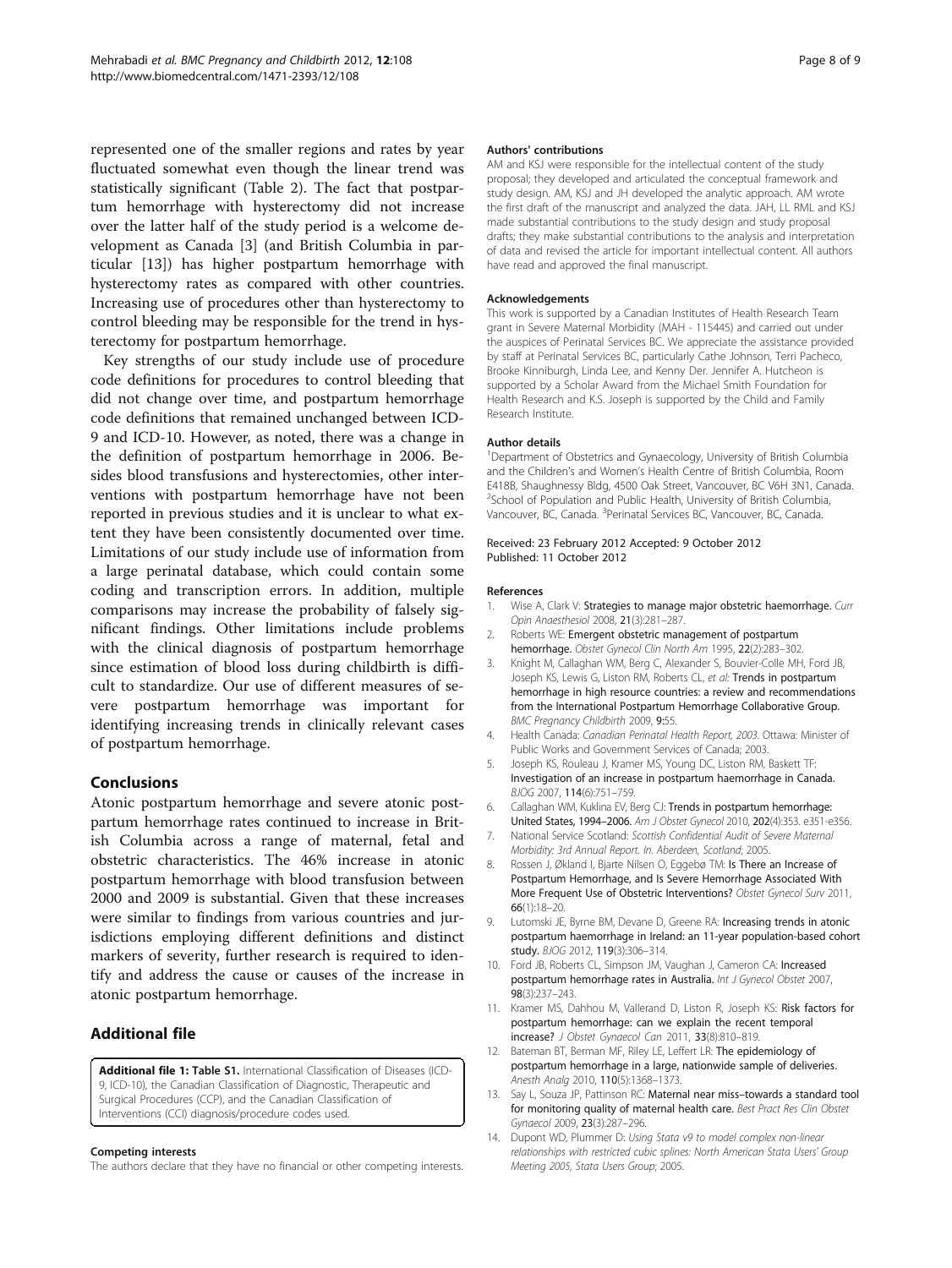<span id="page-7-0"></span>represented one of the smaller regions and rates by year fluctuated somewhat even though the linear trend was statistically significant (Table [2\)](#page-4-0). The fact that postpartum hemorrhage with hysterectomy did not increase over the latter half of the study period is a welcome development as Canada [3] (and British Columbia in particular [13]) has higher postpartum hemorrhage with hysterectomy rates as compared with other countries. Increasing use of procedures other than hysterectomy to control bleeding may be responsible for the trend in hysterectomy for postpartum hemorrhage.

Key strengths of our study include use of procedure code definitions for procedures to control bleeding that did not change over time, and postpartum hemorrhage code definitions that remained unchanged between ICD-9 and ICD-10. However, as noted, there was a change in the definition of postpartum hemorrhage in 2006. Besides blood transfusions and hysterectomies, other interventions with postpartum hemorrhage have not been reported in previous studies and it is unclear to what extent they have been consistently documented over time. Limitations of our study include use of information from a large perinatal database, which could contain some coding and transcription errors. In addition, multiple comparisons may increase the probability of falsely significant findings. Other limitations include problems with the clinical diagnosis of postpartum hemorrhage since estimation of blood loss during childbirth is difficult to standardize. Our use of different measures of sepostpartum hemorrhage was important for identifying increasing trends in clinically relevant cases of postpartum hemorrhage.

## Conclusions

Atonic postpartum hemorrhage and severe atonic postpartum hemorrhage rates continued to increase in British Columbia across a range of maternal, fetal and obstetric characteristics. The 46% increase in atonic postpartum hemorrhage with blood transfusion between 2000 and 2009 is substantial. Given that these increases were similar to findings from various countries and jurisdictions employing different definitions and distinct markers of severity, further research is required to identify and address the cause or causes of the increase in atonic postpartum hemorrhage.

## Additional file

[Additional file 1:](http://www.biomedcentral.com/content/supplementary/1471-2393-12-108-S1.pdf) Table S1. International Classification of Diseases (ICD-9, ICD-10), the Canadian Classification of Diagnostic, Therapeutic and Surgical Procedures (CCP), and the Canadian Classification of Interventions (CCI) diagnosis/procedure codes used.

#### Competing interests

The authors declare that they have no financial or other competing interests.

#### Authors' contributions

AM and KSJ were responsible for the intellectual content of the study proposal; they developed and articulated the conceptual framework and study design. AM, KSJ and JH developed the analytic approach. AM wrote the first draft of the manuscript and analyzed the data. JAH, LL RML and KSJ made substantial contributions to the study design and study proposal drafts; they make substantial contributions to the analysis and interpretation of data and revised the article for important intellectual content. All authors have read and approved the final manuscript.

#### Acknowledgements

This work is supported by a Canadian Institutes of Health Research Team grant in Severe Maternal Morbidity (MAH - 115445) and carried out under the auspices of Perinatal Services BC. We appreciate the assistance provided by staff at Perinatal Services BC, particularly Cathe Johnson, Terri Pacheco, Brooke Kinniburgh, Linda Lee, and Kenny Der. Jennifer A. Hutcheon is supported by a Scholar Award from the Michael Smith Foundation for Health Research and K.S. Joseph is supported by the Child and Family Research Institute.

#### Author details

<sup>1</sup>Department of Obstetrics and Gynaecology, University of British Columbia and the Children's and Women's Health Centre of British Columbia, Room E418B, Shaughnessy Bldg, 4500 Oak Street, Vancouver, BC V6H 3N1, Canada. <sup>2</sup>School of Population and Public Health, University of British Columbia, Vancouver, BC, Canada. <sup>3</sup>Perinatal Services BC, Vancouver, BC, Canada.

#### Received: 23 February 2012 Accepted: 9 October 2012 Published: 11 October 2012

#### References

- 1. Wise A, Clark V: Strategies to manage major obstetric haemorrhage. Curr Opin Anaesthesiol 2008, 21(3):281–287.
- 2. Roberts WE: Emergent obstetric management of postpartum hemorrhage. Obstet Gynecol Clin North Am 1995, 22(2):283-302.
- 3. Knight M, Callaghan WM, Berg C, Alexander S, Bouvier-Colle MH, Ford JB, Joseph KS, Lewis G, Liston RM, Roberts CL, et al: Trends in postpartum hemorrhage in high resource countries: a review and recommendations from the International Postpartum Hemorrhage Collaborative Group. BMC Pregnancy Childbirth 2009, 9:55.
- 4. Health Canada: Canadian Perinatal Health Report, 2003. Ottawa: Minister of Public Works and Government Services of Canada; 2003.
- 5. Joseph KS, Rouleau J, Kramer MS, Young DC, Liston RM, Baskett TF: Investigation of an increase in postpartum haemorrhage in Canada. BJOG 2007, 114(6):751–759.
- 6. Callaghan WM, Kuklina EV, Berg CJ: Trends in postpartum hemorrhage: United States, 1994–2006. Am J Obstet Gynecol 2010, 202(4):353. e351-e356.
- 7. National Service Scotland: Scottish Confidential Audit of Severe Maternal Morbidity: 3rd Annual Report. In. Aberdeen, Scotland; 2005.
- 8. Rossen J, Økland I, Bjarte Nilsen O, Eggebø TM: Is There an Increase of Postpartum Hemorrhage, and Is Severe Hemorrhage Associated With More Frequent Use of Obstetric Interventions? Obstet Gynecol Surv 2011, 66(1):18–20.
- 9. Lutomski JE, Byrne BM, Devane D, Greene RA: Increasing trends in atonic postpartum haemorrhage in Ireland: an 11-year population-based cohort study. BJOG 2012, 119(3):306–314.
- 10. Ford JB, Roberts CL, Simpson JM, Vaughan J, Cameron CA: Increased postpartum hemorrhage rates in Australia. Int J Gynecol Obstet 2007, 98(3):237–243.
- 11. Kramer MS, Dahhou M, Vallerand D, Liston R, Joseph KS: Risk factors for postpartum hemorrhage: can we explain the recent temporal increase? J Obstet Gynaecol Can 2011, 33(8):810–819.
- 12. Bateman BT, Berman MF, Riley LE, Leffert LR: The epidemiology of postpartum hemorrhage in a large, nationwide sample of deliveries. Anesth Analg 2010, 110(5):1368-1373.
- 13. Say L, Souza JP, Pattinson RC: Maternal near miss-towards a standard tool for monitoring quality of maternal health care. Best Pract Res Clin Obstet Gynaecol 2009, 23(3):287–296.
- 14. Dupont WD, Plummer D: Using Stata v9 to model complex non-linear relationships with restricted cubic splines: North American Stata Users' Group Meeting 2005, Stata Users Group; 2005.